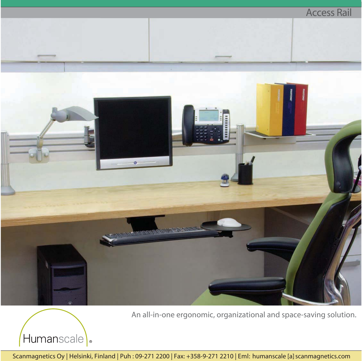

An all-in-one ergonomic, organizational and space-saving solution.



Scanmagnetics Oy | Helsinki, Finland | Puh: 09-271 2200 | Fax: +358-9-271 2210 | Eml: humanscale [a] scanmagnetics.com